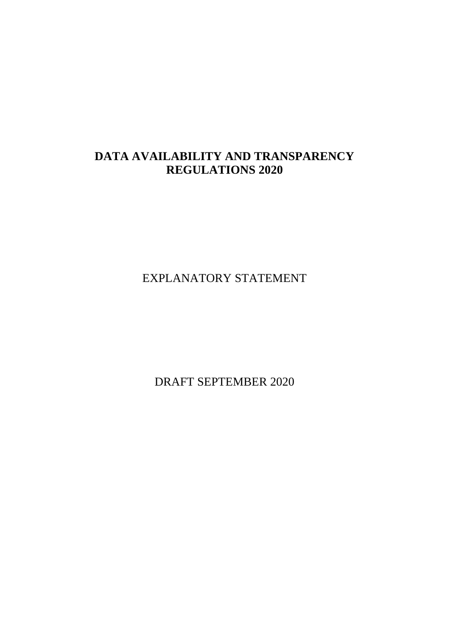## **DATA AVAILABILITY AND TRANSPARENCY REGULATIONS 2020**

EXPLANATORY STATEMENT

DRAFT SEPTEMBER 2020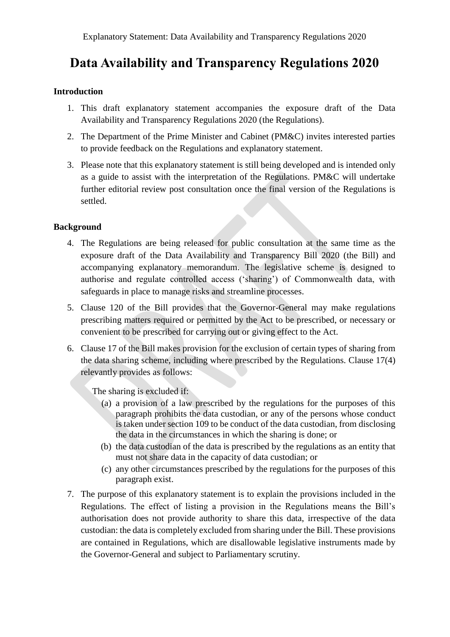# **Data Availability and Transparency Regulations 2020**

## **Introduction**

- 1. This draft explanatory statement accompanies the exposure draft of the Data Availability and Transparency Regulations 2020 (the Regulations).
- 2. The Department of the Prime Minister and Cabinet (PM&C) invites interested parties to provide feedback on the Regulations and explanatory statement.
- 3. Please note that this explanatory statement is still being developed and is intended only as a guide to assist with the interpretation of the Regulations. PM&C will undertake further editorial review post consultation once the final version of the Regulations is settled.

## **Background**

- 4. The Regulations are being released for public consultation at the same time as the exposure draft of the Data Availability and Transparency Bill 2020 (the Bill) and accompanying explanatory memorandum. The legislative scheme is designed to authorise and regulate controlled access ('sharing') of Commonwealth data, with safeguards in place to manage risks and streamline processes.
- 5. Clause 120 of the Bill provides that the Governor-General may make regulations prescribing matters required or permitted by the Act to be prescribed, or necessary or convenient to be prescribed for carrying out or giving effect to the Act.
- 6. Clause 17 of the Bill makes provision for the exclusion of certain types of sharing from the data sharing scheme, including where prescribed by the Regulations. Clause 17(4) relevantly provides as follows:

The sharing is excluded if:

- (a) a provision of a law prescribed by the regulations for the purposes of this paragraph prohibits the data custodian, or any of the persons whose conduct is taken under section 109 to be conduct of the data custodian, from disclosing the data in the circumstances in which the sharing is done; or
- (b) the data custodian of the data is prescribed by the regulations as an entity that must not share data in the capacity of data custodian; or
- (c) any other circumstances prescribed by the regulations for the purposes of this paragraph exist.
- 7. The purpose of this explanatory statement is to explain the provisions included in the Regulations. The effect of listing a provision in the Regulations means the Bill's authorisation does not provide authority to share this data, irrespective of the data custodian: the data is completely excluded from sharing under the Bill. These provisions are contained in Regulations, which are disallowable legislative instruments made by the Governor-General and subject to Parliamentary scrutiny.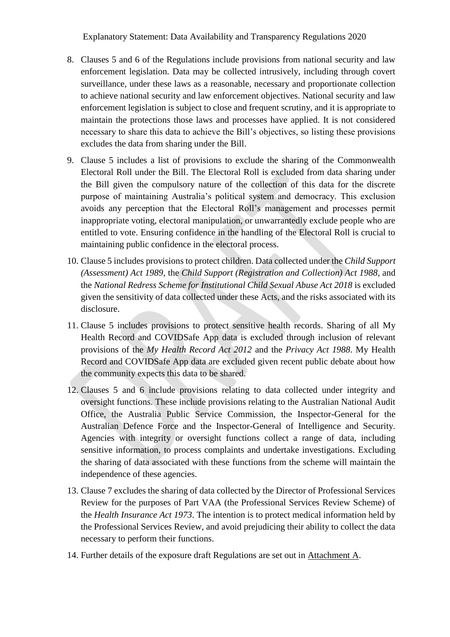Explanatory Statement: Data Availability and Transparency Regulations 2020

- 8. Clauses 5 and 6 of the Regulations include provisions from national security and law enforcement legislation. Data may be collected intrusively, including through covert surveillance, under these laws as a reasonable, necessary and proportionate collection to achieve national security and law enforcement objectives. National security and law enforcement legislation is subject to close and frequent scrutiny, and it is appropriate to maintain the protections those laws and processes have applied. It is not considered necessary to share this data to achieve the Bill's objectives, so listing these provisions excludes the data from sharing under the Bill.
- 9. Clause 5 includes a list of provisions to exclude the sharing of the Commonwealth Electoral Roll under the Bill. The Electoral Roll is excluded from data sharing under the Bill given the compulsory nature of the collection of this data for the discrete purpose of maintaining Australia's political system and democracy. This exclusion avoids any perception that the Electoral Roll's management and processes permit inappropriate voting, electoral manipulation, or unwarrantedly exclude people who are entitled to vote. Ensuring confidence in the handling of the Electoral Roll is crucial to maintaining public confidence in the electoral process.
- 10. Clause 5 includes provisions to protect children. Data collected under the *Child Support (Assessment) Act 1989,* the *Child Support (Registration and Collection) Act 1988*, and the *National Redress Scheme for Institutional Child Sexual Abuse Act 2018* is excluded given the sensitivity of data collected under these Acts, and the risks associated with its disclosure.
- 11. Clause 5 includes provisions to protect sensitive health records. Sharing of all My Health Record and COVIDSafe App data is excluded through inclusion of relevant provisions of the *My Health Record Act 2012* and the *Privacy Act 1988*. My Health Record and COVIDSafe App data are excluded given recent public debate about how the community expects this data to be shared.
- 12. Clauses 5 and 6 include provisions relating to data collected under integrity and oversight functions. These include provisions relating to the Australian National Audit Office, the Australia Public Service Commission, the Inspector-General for the Australian Defence Force and the Inspector-General of Intelligence and Security. Agencies with integrity or oversight functions collect a range of data, including sensitive information, to process complaints and undertake investigations. Excluding the sharing of data associated with these functions from the scheme will maintain the independence of these agencies.
- 13. Clause 7 excludes the sharing of data collected by the Director of Professional Services Review for the purposes of Part VAA (the Professional Services Review Scheme) of the *Health Insurance Act 1973*. The intention is to protect medical information held by the Professional Services Review, and avoid prejudicing their ability to collect the data necessary to perform their functions.
- 14. Further details of the exposure draft Regulations are set out in Attachment A.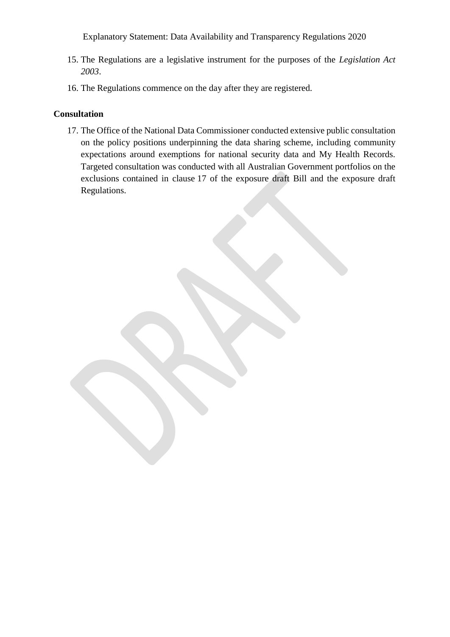Explanatory Statement: Data Availability and Transparency Regulations 2020

- 15. The Regulations are a legislative instrument for the purposes of the *Legislation Act 2003*.
- 16. The Regulations commence on the day after they are registered.

## **Consultation**

17. The Office of the National Data Commissioner conducted extensive public consultation on the policy positions underpinning the data sharing scheme, including community expectations around exemptions for national security data and My Health Records. Targeted consultation was conducted with all Australian Government portfolios on the exclusions contained in clause 17 of the exposure draft Bill and the exposure draft Regulations.